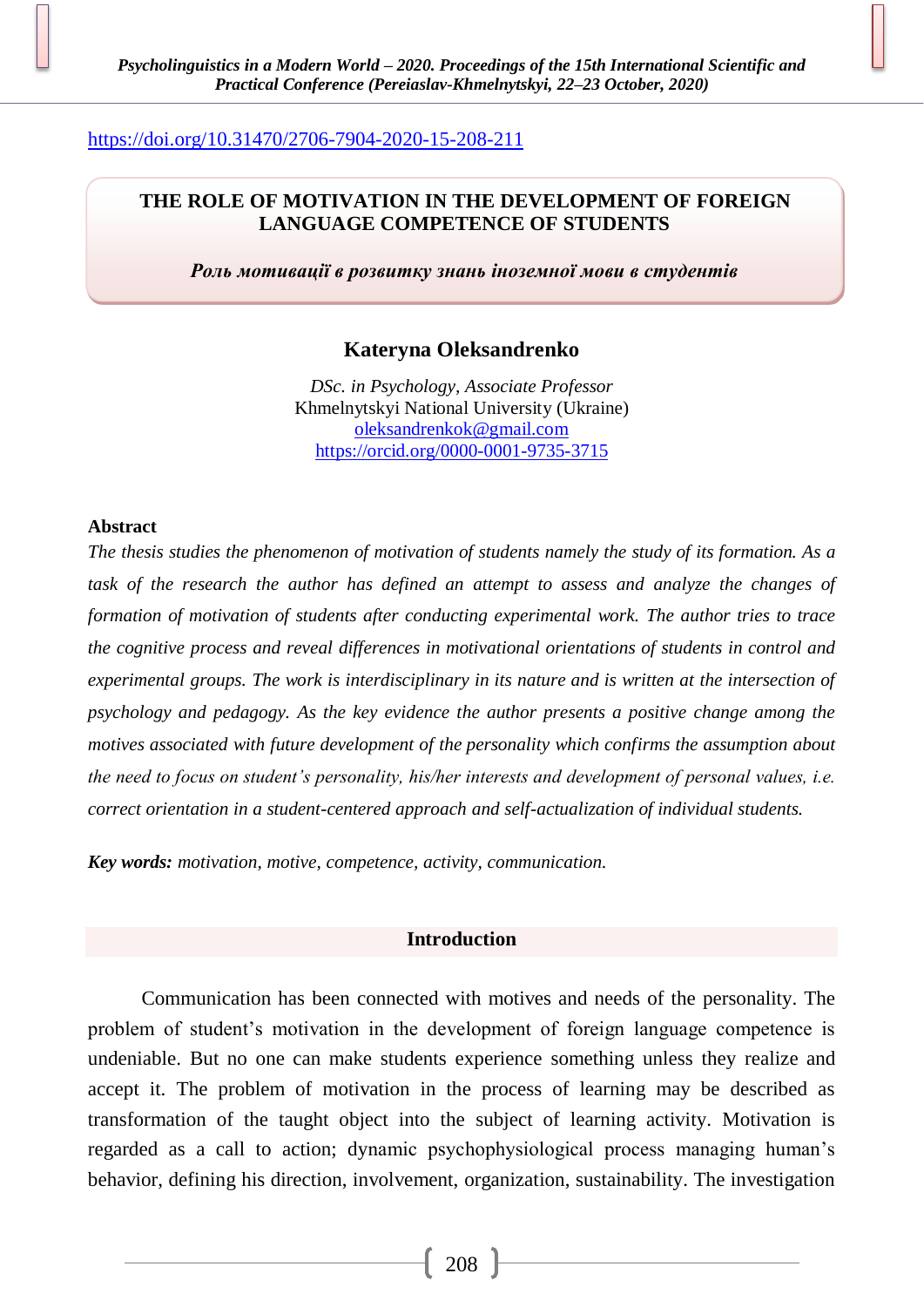## <https://doi.org/10.31470/2706-7904-2020-15-208-211>

# **THE ROLE OF MOTIVATION IN THE DEVELOPMENT OF FOREIGN LANGUAGE COMPETENCE OF STUDENTS**

*Роль мотивації в розвитку знань іноземної мови в студентів*

# **Kateryna Oleksandrenko**

*DSc. in Psychology, Associate Professor* Khmelnytskyi National University (Ukraine) [oleksandrenkok@gmail.com](mailto:oleksandrenkok@gmail.com) <https://orcid.org/0000-0001-9735-3715>

### **Abstract**

*The thesis studies the phenomenon of motivation of students namely the study of its formation. As a task of the research the author has defined an attempt to assess and analyze the changes of formation of motivation of students after conducting experimental work. The author tries to trace the cognitive process and reveal differences in motivational orientations of students in control and experimental groups. The work is interdisciplinary in its nature and is written at the intersection of psychology and pedagogy. As the key evidence the author presents a positive change among the motives associated with future development of the personality which confirms the assumption about the need to focus on student's personality, his/her interests and development of personal values, i.e. correct orientation in a student-centered approach and self-actualization of individual students.*

*Key words: motivation, motive, competence, activity, communication.*

## **Introduction**

Communication has been connected with motives and needs of the personality. The problem of student's motivation in the development of foreign language competence is undeniable. But no one can make students experience something unless they realize and accept it. The problem of motivation in the process of learning may be described as transformation of the taught object into the subject of learning activity. Motivation is regarded as a call to action; dynamic psychophysiological process managing human's behavior, defining his direction, involvement, organization, sustainability. The investigation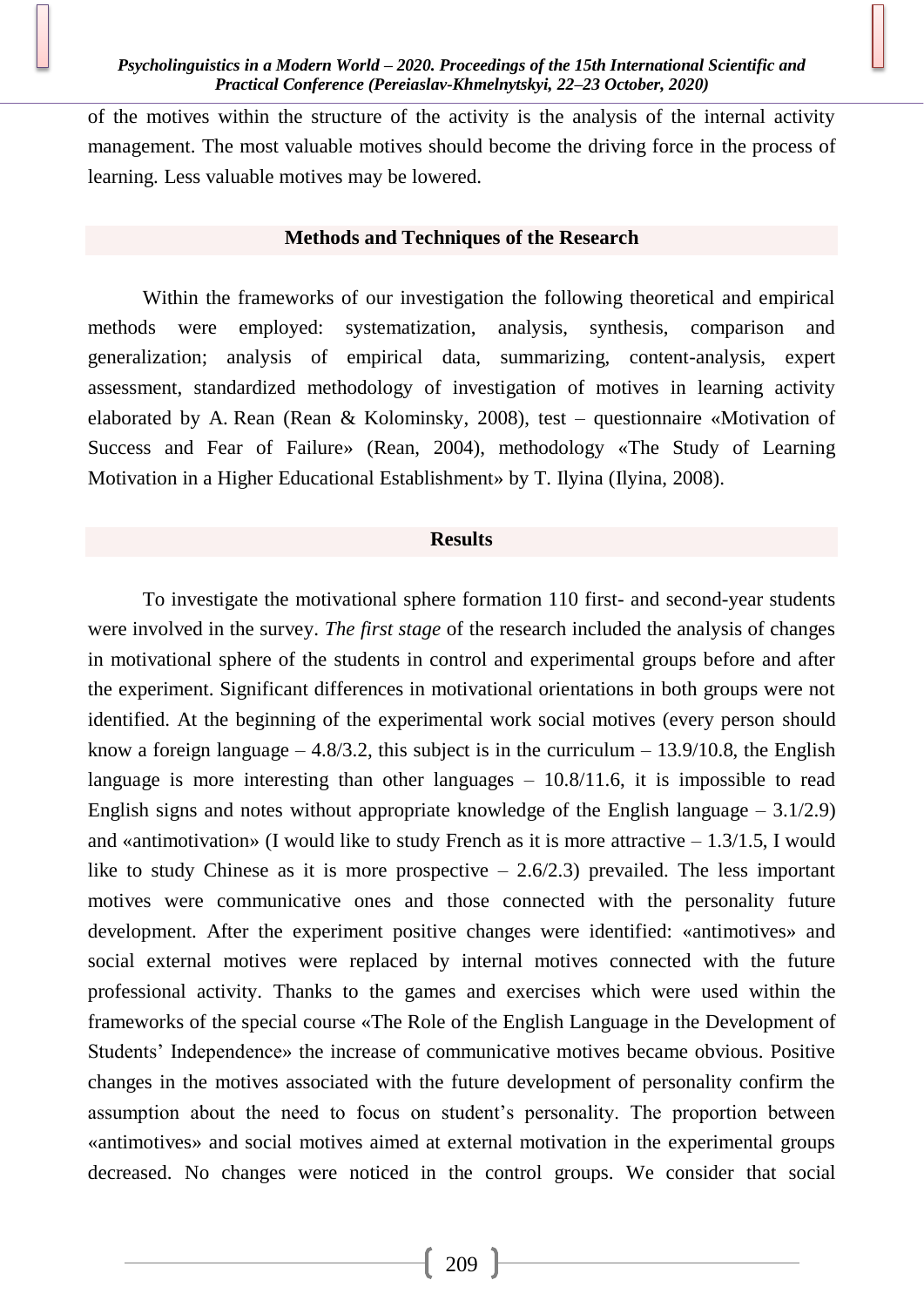of the motives within the structure of the activity is the analysis of the internal activity management. The most valuable motives should become the driving force in the process of learning. Less valuable motives may be lowered.

### **Methods and Techniques of the Research**

Within the frameworks of our investigation the following theoretical and empirical methods were employed: systematization, analysis, synthesis, comparison and generalization; analysis of empirical data, summarizing, content-analysis, expert assessment, standardized methodology of investigation of motives in learning activity elaborated by A. Rean (Rean & Kolominsky, 2008), test – questionnaire «Motivation of Success and Fear of Failure» (Rean, 2004), methodology «The Study of Learning Motivation in a Higher Educational Establishment» by T. Ilyina (Ilyina, 2008).

#### **Results**

To investigate the motivational sphere formation 110 first- and second-year students were involved in the survey. *The first stage* of the research included the analysis of changes in motivational sphere of the students in control and experimental groups before and after the experiment. Significant differences in motivational orientations in both groups were not identified. At the beginning of the experimental work social motives (every person should know a foreign language – 4.8/3.2, this subject is in the curriculum – 13.9/10.8, the English language is more interesting than other languages – 10.8/11.6, it is impossible to read English signs and notes without appropriate knowledge of the English language  $-3.1/2.9$ ) and «antimotivation» (I would like to study French as it is more attractive  $-1.3/1.5$ , I would like to study Chinese as it is more prospective  $-2.6/2.3$  prevailed. The less important motives were communicative ones and those connected with the personality future development. After the experiment positive changes were identified: «antimotives» and social external motives were replaced by internal motives connected with the future professional activity. Thanks to the games and exercises which were used within the frameworks of the special course «The Role of the English Language in the Development of Students' Independence» the increase of communicative motives became obvious. Positive changes in the motives associated with the future development of personality confirm the assumption about the need to focus on student's personality. The proportion between «antimotives» and social motives aimed at external motivation in the experimental groups decreased. No changes were noticed in the control groups. We consider that social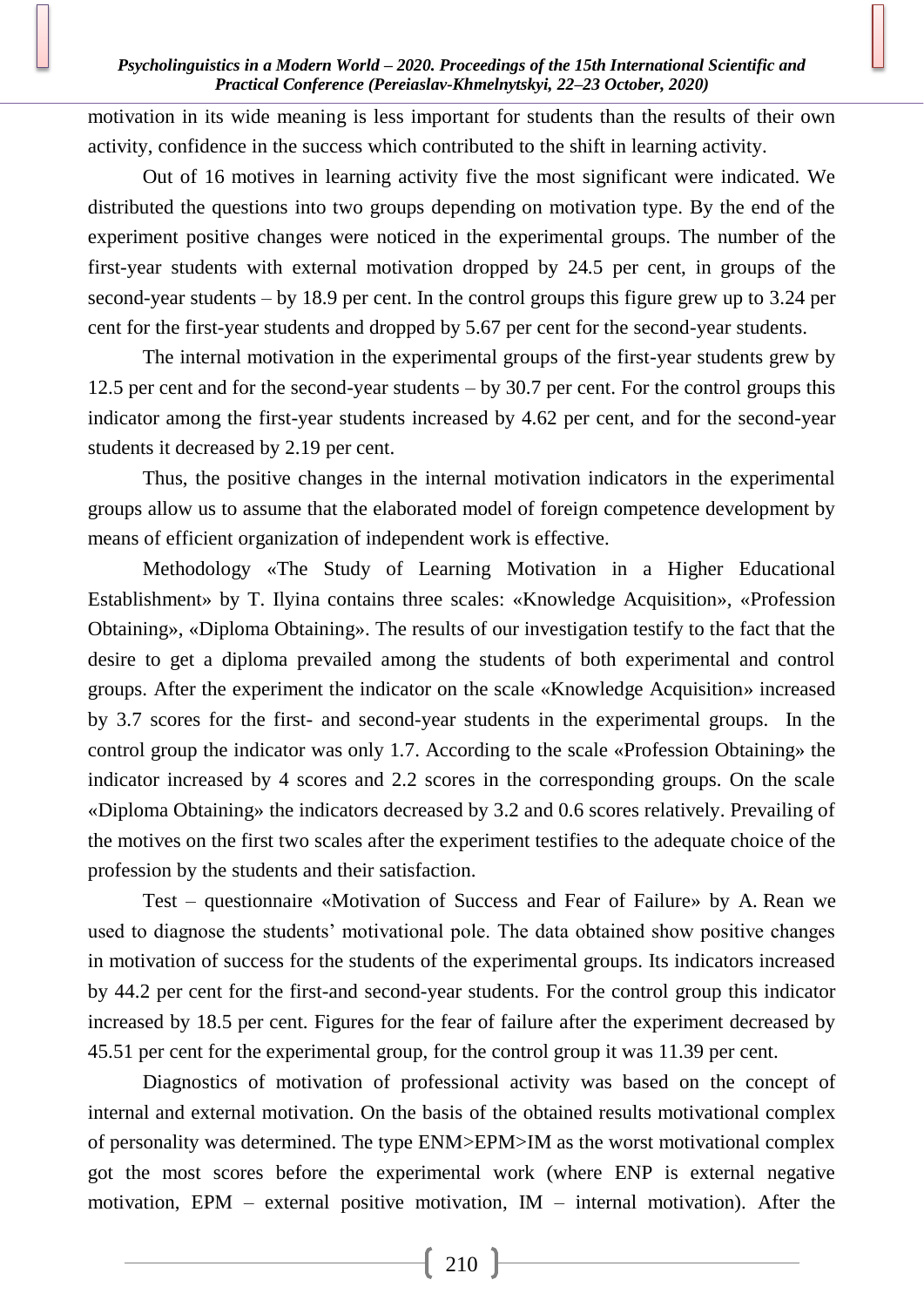### *Psycholinguistics in a Modern World – 2020. Proceedings of the 15th International Scientific and Practical Conference (Pereiaslav-Khmelnytskyi, 22–23 October, 2020)*

motivation in its wide meaning is less important for students than the results of their own activity, confidence in the success which contributed to the shift in learning activity.

Out of 16 motives in learning activity five the most significant were indicated. We distributed the questions into two groups depending on motivation type. By the end of the experiment positive changes were noticed in the experimental groups. The number of the first-year students with external motivation dropped by 24.5 per cent, in groups of the second-year students – by 18.9 per cent. In the control groups this figure grew up to 3.24 per cent for the first-year students and dropped by 5.67 per cent for the second-year students.

The internal motivation in the experimental groups of the first-year students grew by 12.5 per cent and for the second-year students – by 30.7 per cent. For the control groups this indicator among the first-year students increased by 4.62 per cent, and for the second-year students it decreased by 2.19 per cent.

Thus, the positive changes in the internal motivation indicators in the experimental groups allow us to assume that the elaborated model of foreign competence development by means of efficient organization of independent work is effective.

Methodology «The Study of Learning Motivation in a Higher Educational Establishment» by T. Ilyina contains three scales: «Knowledge Acquisition», «Profession Obtaining», «Diploma Obtaining». The results of our investigation testify to the fact that the desire to get a diploma prevailed among the students of both experimental and control groups. After the experiment the indicator on the scale «Knowledge Acquisition» increased by 3.7 scores for the first- and second-year students in the experimental groups. In the control group the indicator was only 1.7. According to the scale «Profession Obtaining» the indicator increased by 4 scores and 2.2 scores in the corresponding groups. On the scale «Diploma Obtaining» the indicators decreased by 3.2 and 0.6 scores relatively. Prevailing of the motives on the first two scales after the experiment testifies to the adequate choice of the profession by the students and their satisfaction.

Test – questionnaire «Motivation of Success and Fear of Failure» by A. Rean we used to diagnose the students' motivational pole. The data obtained show positive changes in motivation of success for the students of the experimental groups. Its indicators increased by 44.2 per cent for the first-and second-year students. For the control group this indicator increased by 18.5 per cent. Figures for the fear of failure after the experiment decreased by 45.51 per cent for the experimental group, for the control group it was 11.39 per cent.

Diagnostics of motivation of professional activity was based on the concept of internal and external motivation. On the basis of the obtained results motivational complex of personality was determined. The type ENM>EPM>IM as the worst motivational complex got the most scores before the experimental work (where ENP is external negative motivation, EPM – external positive motivation, IM – internal motivation). After the